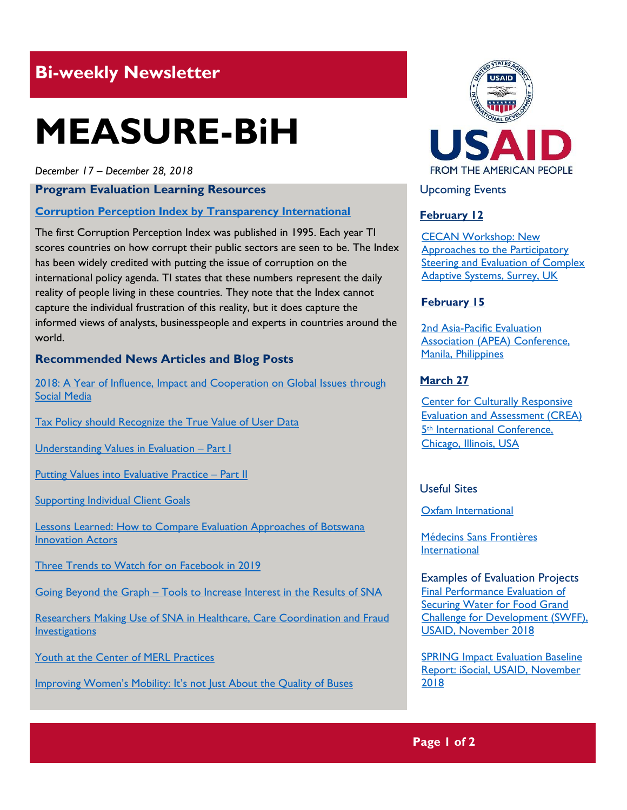# **Bi-weekly Newsletter**

# **MEASURE-BiH**

*December 17 – December 28, 2018*

**Program Evaluation Learning Resources**

**[Corruption Perception Index by Transparency International](https://www.transparency.org/research/cpi/overview)** 

The first Corruption Perception Index was published in 1995. Each year TI scores countries on how corrupt their public sectors are seen to be. The Index has been widely credited with putting the issue of corruption on the international policy agenda. TI states that these numbers represent the daily reality of people living in these countries. They note that the Index cannot capture the individual frustration of this reality, but it does capture the informed views of analysts, businesspeople and experts in countries around the world.

# **Recommended News Articles and Blog Posts**

[2018: A Year of Influence, Impact and Cooperation on Global Issues through](https://blogs.worldbank.org/voices/2018-year-influence-impact-cooperation-global-issues-social-media)  [Social Media](https://blogs.worldbank.org/voices/2018-year-influence-impact-cooperation-global-issues-social-media)

[Tax Policy should Recognize the True Value of User Data](https://blogs.worldbank.org/developmenttalk/tax-policy-should-recognize-true-value-user-data)

[Understanding Values in Evaluation](https://aea365.org/blog/understanding-values-in-evaluation-part-i-by-alison-miranda/) - Part I

[Putting Values into Evaluative Practice](https://aea365.org/blog/putting-values-into-evaluative-practice-part-ii-by-alison-miranda/) – Part II

**[Supporting Individual Client Goals](https://aea365.org/blog/supporting-individual-client-goals-by-laura-beals-and-aaron-gunning/)** 

[Lessons Learned: How to Compare Evaluation Approaches of Botswana](https://aea365.org/blog/lessons-learned-how-to-compare-evaluation-approaches-of-botswana-innovation-actors-by-pierce-gordon/)  [Innovation Actors](https://aea365.org/blog/lessons-learned-how-to-compare-evaluation-approaches-of-botswana-innovation-actors-by-pierce-gordon/)

Three Trends to Watch for on Facebook in 2019

Going Beyond the Graph – [Tools to Increase Interest in the Results of SNA](https://aea365.org/blog/sna-tig-week-going-beyond-the-graph-tools-to-increase-interest-in-the-results-of-sna-by-sophia-guevara/)

[Researchers Making Use of SNA in Healthcare, Care Coordination and Fraud](https://aea365.org/blog/sna-tig-week-researchers-making-use-of-sna-in-healthcare-care-coordination-and-fraud-investigations-by-sophia-guevara/)  **[Investigations](https://aea365.org/blog/sna-tig-week-researchers-making-use-of-sna-in-healthcare-care-coordination-and-fraud-investigations-by-sophia-guevara/)** 

[Youth at the Center of MERL Practices](https://aea365.org/blog/yfe-tig-week-youth-at-the-center-of-merl-practices-by-pia-saunders-campbell-and-alejandra-de-freitas/)

[Improving Women's Mobility: It's not Just About the Quality of B](https://blogs.worldbank.org/transport/improving-women-s-mobility-it-s-not-just-about-quality-buses)uses



Upcoming Events

# **February 12**

[CECAN Workshop: New](https://www.cecan.ac.uk/events/cecan-workshop-new-approaches-to-participatory-steering-and-evaluation-of-complex-adaptive)  [Approaches to the Participatory](https://www.cecan.ac.uk/events/cecan-workshop-new-approaches-to-participatory-steering-and-evaluation-of-complex-adaptive)  [Steering and Evaluation of Complex](https://www.cecan.ac.uk/events/cecan-workshop-new-approaches-to-participatory-steering-and-evaluation-of-complex-adaptive)  [Adaptive Systems, Surrey, UK](https://www.cecan.ac.uk/events/cecan-workshop-new-approaches-to-participatory-steering-and-evaluation-of-complex-adaptive) 

### **February 15**

[2nd Asia-Pacific Evaluation](http://apeaconference2019.com/)  [Association \(APEA\) Conference,](http://apeaconference2019.com/)  [Manila, Philippines](http://apeaconference2019.com/) 

#### **March 27**

[Center for Culturally Responsive](https://crea.education.illinois.edu/home/fifth-international-conference)  [Evaluation and Assessment \(CREA\)](https://crea.education.illinois.edu/home/fifth-international-conference)  5th [International Conference,](https://crea.education.illinois.edu/home/fifth-international-conference)  [Chicago, Illinois, USA](https://crea.education.illinois.edu/home/fifth-international-conference) 

## Useful Sites

[Oxfam International](https://www.oxfam.org/en) 

[Médecins Sans Frontières](https://www.msf.org/)  [International](https://www.msf.org/)

Examples of Evaluation Projects [Final Performance Evaluation of](https://dec.usaid.gov/dec/content/Detail_Presto.aspx?ctID=ODVhZjk4NWQtM2YyMi00YjRmLTkxNjktZTcxMjM2NDBmY2Uy&rID=NTE0MDc0&qrs=RmFsc2U%3d&q=KERvY3VtZW50cy5CaWJ0eXBlX05hbWU6KCgiU3BlY2lhbCBFdmFsdWF0aW9uIikgT1IgKCJGaW5hbCBFdmFsdWF0aW9uIFJlcG9ydCIpKSk%3d&ph=VHJ1ZQ%3d%3d&bckToL=VHJ1ZQ%3d%3d&rrtc=VHJ1ZQ%3d%3d)  [Securing Water for Food Grand](https://dec.usaid.gov/dec/content/Detail_Presto.aspx?ctID=ODVhZjk4NWQtM2YyMi00YjRmLTkxNjktZTcxMjM2NDBmY2Uy&rID=NTE0MDc0&qrs=RmFsc2U%3d&q=KERvY3VtZW50cy5CaWJ0eXBlX05hbWU6KCgiU3BlY2lhbCBFdmFsdWF0aW9uIikgT1IgKCJGaW5hbCBFdmFsdWF0aW9uIFJlcG9ydCIpKSk%3d&ph=VHJ1ZQ%3d%3d&bckToL=VHJ1ZQ%3d%3d&rrtc=VHJ1ZQ%3d%3d)  [Challenge for Development \(SWFF\),](https://dec.usaid.gov/dec/content/Detail_Presto.aspx?ctID=ODVhZjk4NWQtM2YyMi00YjRmLTkxNjktZTcxMjM2NDBmY2Uy&rID=NTE0MDc0&qrs=RmFsc2U%3d&q=KERvY3VtZW50cy5CaWJ0eXBlX05hbWU6KCgiU3BlY2lhbCBFdmFsdWF0aW9uIikgT1IgKCJGaW5hbCBFdmFsdWF0aW9uIFJlcG9ydCIpKSk%3d&ph=VHJ1ZQ%3d%3d&bckToL=VHJ1ZQ%3d%3d&rrtc=VHJ1ZQ%3d%3d)  [USAID, November](https://dec.usaid.gov/dec/content/Detail_Presto.aspx?ctID=ODVhZjk4NWQtM2YyMi00YjRmLTkxNjktZTcxMjM2NDBmY2Uy&rID=NTE0MDc0&qrs=RmFsc2U%3d&q=KERvY3VtZW50cy5CaWJ0eXBlX05hbWU6KCgiU3BlY2lhbCBFdmFsdWF0aW9uIikgT1IgKCJGaW5hbCBFdmFsdWF0aW9uIFJlcG9ydCIpKSk%3d&ph=VHJ1ZQ%3d%3d&bckToL=VHJ1ZQ%3d%3d&rrtc=VHJ1ZQ%3d%3d) 2018

[SPRING Impact Evaluation Baseline](https://dec.usaid.gov/dec/content/Detail_Presto.aspx?ctID=ODVhZjk4NWQtM2YyMi00YjRmLTkxNjktZTcxMjM2NDBmY2Uy&rID=NTE0MzM4&qrs=RmFsc2U%3d&q=KERvY3VtZW50cy5CaWJ0eXBlX05hbWU6KCgiU3BlY2lhbCBFdmFsdWF0aW9uIikgT1IgKCJGaW5hbCBFdmFsdWF0aW9uIFJlcG9ydCIpKSk%3d&ph=VHJ1ZQ%3d%3d&bckToL=VHJ1ZQ%3d%3d&rrtc=VHJ1ZQ%3d%3d)  Report: iSocial, [USAID, November](https://dec.usaid.gov/dec/content/Detail_Presto.aspx?ctID=ODVhZjk4NWQtM2YyMi00YjRmLTkxNjktZTcxMjM2NDBmY2Uy&rID=NTE0MzM4&qrs=RmFsc2U%3d&q=KERvY3VtZW50cy5CaWJ0eXBlX05hbWU6KCgiU3BlY2lhbCBFdmFsdWF0aW9uIikgT1IgKCJGaW5hbCBFdmFsdWF0aW9uIFJlcG9ydCIpKSk%3d&ph=VHJ1ZQ%3d%3d&bckToL=VHJ1ZQ%3d%3d&rrtc=VHJ1ZQ%3d%3d) [2018](https://dec.usaid.gov/dec/content/Detail_Presto.aspx?ctID=ODVhZjk4NWQtM2YyMi00YjRmLTkxNjktZTcxMjM2NDBmY2Uy&rID=NTE0MzM4&qrs=RmFsc2U%3d&q=KERvY3VtZW50cy5CaWJ0eXBlX05hbWU6KCgiU3BlY2lhbCBFdmFsdWF0aW9uIikgT1IgKCJGaW5hbCBFdmFsdWF0aW9uIFJlcG9ydCIpKSk%3d&ph=VHJ1ZQ%3d%3d&bckToL=VHJ1ZQ%3d%3d&rrtc=VHJ1ZQ%3d%3d)

**Page 1 of 2**